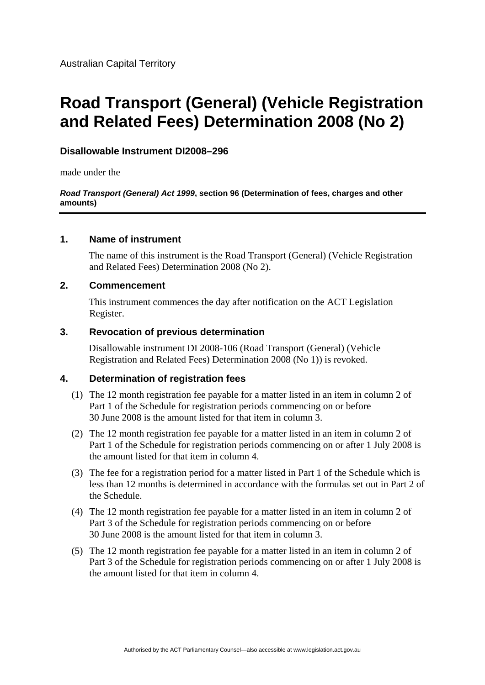# **Disallowable Instrument DI2008–296**

made under the

#### *Road Transport (General) Act 1999***, section 96 (Determination of fees, charges and other amounts)**

## **1. Name of instrument**

The name of this instrument is the Road Transport (General) (Vehicle Registration and Related Fees) Determination 2008 (No 2).

## **2. Commencement**

This instrument commences the day after notification on the ACT Legislation Register.

## **3. Revocation of previous determination**

Disallowable instrument DI 2008-106 (Road Transport (General) (Vehicle Registration and Related Fees) Determination 2008 (No 1)) is revoked.

# **4. Determination of registration fees**

- (1) The 12 month registration fee payable for a matter listed in an item in column 2 of Part 1 of the Schedule for registration periods commencing on or before 30 June 2008 is the amount listed for that item in column 3.
- (2) The 12 month registration fee payable for a matter listed in an item in column 2 of Part 1 of the Schedule for registration periods commencing on or after 1 July 2008 is the amount listed for that item in column 4.
- (3) The fee for a registration period for a matter listed in Part 1 of the Schedule which is less than 12 months is determined in accordance with the formulas set out in Part 2 of the Schedule.
- (4) The 12 month registration fee payable for a matter listed in an item in column 2 of Part 3 of the Schedule for registration periods commencing on or before 30 June 2008 is the amount listed for that item in column 3.
- (5) The 12 month registration fee payable for a matter listed in an item in column 2 of Part 3 of the Schedule for registration periods commencing on or after 1 July 2008 is the amount listed for that item in column 4.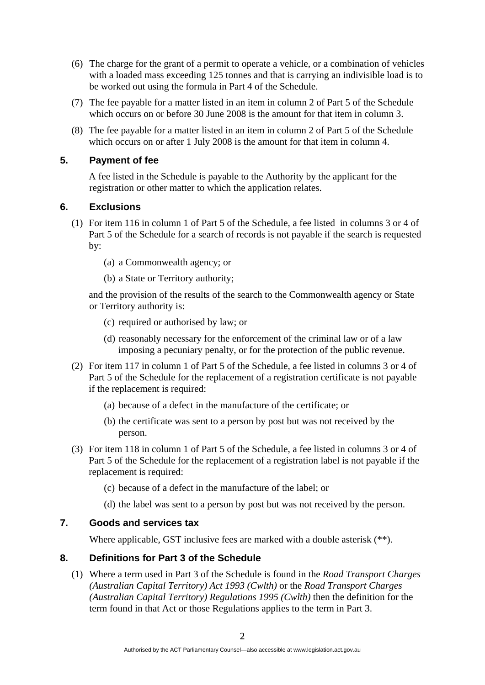- (6) The charge for the grant of a permit to operate a vehicle, or a combination of vehicles with a loaded mass exceeding 125 tonnes and that is carrying an indivisible load is to be worked out using the formula in Part 4 of the Schedule.
- (7) The fee payable for a matter listed in an item in column 2 of Part 5 of the Schedule which occurs on or before 30 June 2008 is the amount for that item in column 3.
- (8) The fee payable for a matter listed in an item in column 2 of Part 5 of the Schedule which occurs on or after 1 July 2008 is the amount for that item in column 4.

# **5. Payment of fee**

A fee listed in the Schedule is payable to the Authority by the applicant for the registration or other matter to which the application relates.

# **6. Exclusions**

- (1) For item 116 in column 1 of Part 5 of the Schedule, a fee listed in columns 3 or 4 of Part 5 of the Schedule for a search of records is not payable if the search is requested by:
	- (a) a Commonwealth agency; or
	- (b) a State or Territory authority;

and the provision of the results of the search to the Commonwealth agency or State or Territory authority is:

- (c) required or authorised by law; or
- (d) reasonably necessary for the enforcement of the criminal law or of a law imposing a pecuniary penalty, or for the protection of the public revenue.
- (2) For item 117 in column 1 of Part 5 of the Schedule, a fee listed in columns 3 or 4 of Part 5 of the Schedule for the replacement of a registration certificate is not payable if the replacement is required:
	- (a) because of a defect in the manufacture of the certificate; or
	- (b) the certificate was sent to a person by post but was not received by the person.
- (3) For item 118 in column 1 of Part 5 of the Schedule, a fee listed in columns 3 or 4 of Part 5 of the Schedule for the replacement of a registration label is not payable if the replacement is required:
	- (c) because of a defect in the manufacture of the label; or
	- (d) the label was sent to a person by post but was not received by the person.

# **7. Goods and services tax**

Where applicable, GST inclusive fees are marked with a double asterisk (\*\*).

# **8. Definitions for Part 3 of the Schedule**

(1) Where a term used in Part 3 of the Schedule is found in the *Road Transport Charges (Australian Capital Territory) Act 1993 (Cwlth)* or the *Road Transport Charges (Australian Capital Territory) Regulations 1995 (Cwlth)* then the definition for the term found in that Act or those Regulations applies to the term in Part 3.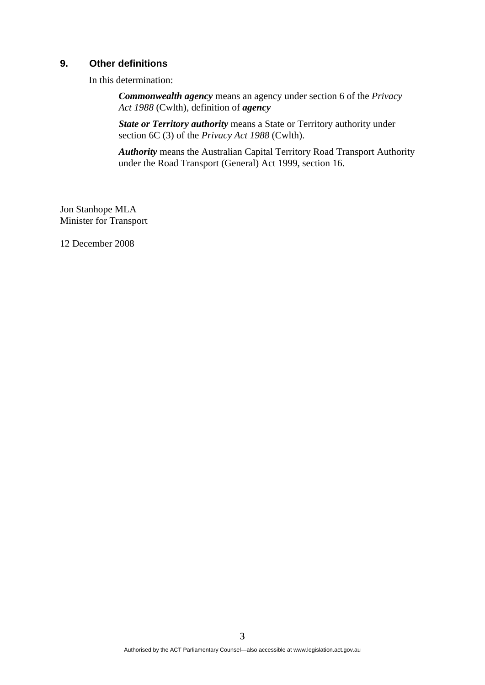## **9. Other definitions**

In this determination:

*Commonwealth agency* means an agency under section 6 of the *Privacy Act 1988* (Cwlth), definition of *agency*

*State or Territory authority* means a State or Territory authority under section 6C (3) of the *Privacy Act 1988* (Cwlth).

*Authority* means the Australian Capital Territory Road Transport Authority under the Road Transport (General) Act 1999, section 16.

Jon Stanhope MLA Minister for Transport

12 December 2008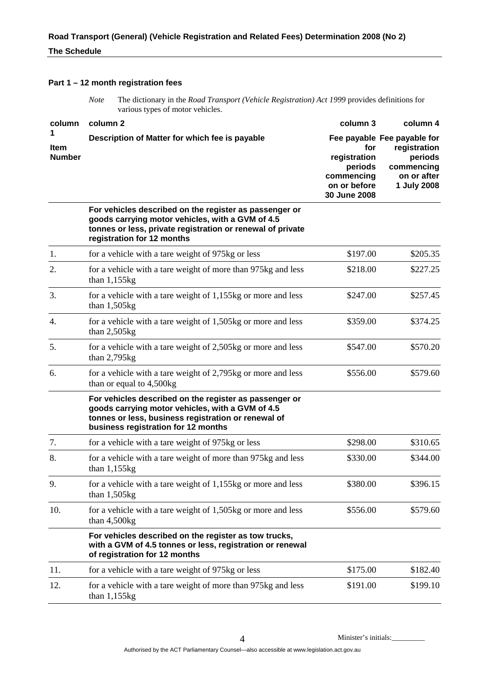#### **Part 1 – 12 month registration fees**

*Note* The dictionary in the *Road Transport (Vehicle Registration) Act 1999* provides definitions for various types of motor vehicles.

| column                | column 2                                                                                                                                                                                                 | column 3                                                                     | column 4                                                                                           |
|-----------------------|----------------------------------------------------------------------------------------------------------------------------------------------------------------------------------------------------------|------------------------------------------------------------------------------|----------------------------------------------------------------------------------------------------|
| Item<br><b>Number</b> | Description of Matter for which fee is payable                                                                                                                                                           | for<br>registration<br>periods<br>commencing<br>on or before<br>30 June 2008 | Fee payable Fee payable for<br>registration<br>periods<br>commencing<br>on or after<br>1 July 2008 |
|                       | For vehicles described on the register as passenger or<br>goods carrying motor vehicles, with a GVM of 4.5<br>tonnes or less, private registration or renewal of private<br>registration for 12 months   |                                                                              |                                                                                                    |
| 1.                    | for a vehicle with a tare weight of 975kg or less                                                                                                                                                        | \$197.00                                                                     | \$205.35                                                                                           |
| 2.                    | for a vehicle with a tare weight of more than 975kg and less<br>than $1,155kg$                                                                                                                           | \$218.00                                                                     | \$227.25                                                                                           |
| 3.                    | for a vehicle with a tare weight of 1,155kg or more and less<br>than $1,505kg$                                                                                                                           | \$247.00                                                                     | \$257.45                                                                                           |
| 4.                    | for a vehicle with a tare weight of 1,505kg or more and less<br>than $2,505$ kg                                                                                                                          | \$359.00                                                                     | \$374.25                                                                                           |
| 5.                    | for a vehicle with a tare weight of 2,505kg or more and less<br>than $2,795$ kg                                                                                                                          | \$547.00                                                                     | \$570.20                                                                                           |
| 6.                    | for a vehicle with a tare weight of 2,795kg or more and less<br>than or equal to 4,500kg                                                                                                                 | \$556.00                                                                     | \$579.60                                                                                           |
|                       | For vehicles described on the register as passenger or<br>goods carrying motor vehicles, with a GVM of 4.5<br>tonnes or less, business registration or renewal of<br>business registration for 12 months |                                                                              |                                                                                                    |
| 7.                    | for a vehicle with a tare weight of 975kg or less                                                                                                                                                        | \$298.00                                                                     | \$310.65                                                                                           |
| 8.                    | for a vehicle with a tare weight of more than 975kg and less<br>than $1,155kg$                                                                                                                           | \$330.00                                                                     | \$344.00                                                                                           |
| 9.                    | for a vehicle with a tare weight of 1,155kg or more and less<br>than $1,505kg$                                                                                                                           | \$380.00                                                                     | \$396.15                                                                                           |
| 10.                   | for a vehicle with a tare weight of 1,505kg or more and less<br>than $4,500$ kg                                                                                                                          | \$556.00                                                                     | \$579.60                                                                                           |
|                       | For vehicles described on the register as tow trucks,<br>with a GVM of 4.5 tonnes or less, registration or renewal<br>of registration for 12 months                                                      |                                                                              |                                                                                                    |
| 11.                   | for a vehicle with a tare weight of 975kg or less                                                                                                                                                        | \$175.00                                                                     | \$182.40                                                                                           |
| 12.                   | for a vehicle with a tare weight of more than 975kg and less<br>than $1,155kg$                                                                                                                           | \$191.00                                                                     | \$199.10                                                                                           |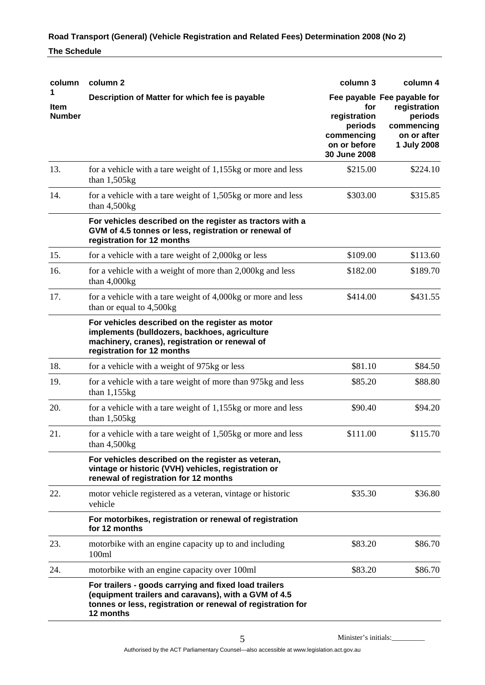| column                       | column <sub>2</sub>                                                                                                                                                                       | column 3                                                     | column 4                                                                                           |
|------------------------------|-------------------------------------------------------------------------------------------------------------------------------------------------------------------------------------------|--------------------------------------------------------------|----------------------------------------------------------------------------------------------------|
| <b>Item</b><br><b>Number</b> | Description of Matter for which fee is payable                                                                                                                                            | for<br>registration<br>periods<br>commencing<br>on or before | Fee payable Fee payable for<br>registration<br>periods<br>commencing<br>on or after<br>1 July 2008 |
| 13.                          | for a vehicle with a tare weight of 1,155kg or more and less<br>than $1,505kg$                                                                                                            | 30 June 2008<br>\$215.00                                     | \$224.10                                                                                           |
| 14.                          | for a vehicle with a tare weight of 1,505kg or more and less<br>than $4,500$ kg                                                                                                           | \$303.00                                                     | \$315.85                                                                                           |
|                              | For vehicles described on the register as tractors with a<br>GVM of 4.5 tonnes or less, registration or renewal of<br>registration for 12 months                                          |                                                              |                                                                                                    |
| 15.                          | for a vehicle with a tare weight of 2,000kg or less                                                                                                                                       | \$109.00                                                     | \$113.60                                                                                           |
| 16.                          | for a vehicle with a weight of more than 2,000kg and less<br>than 4,000kg                                                                                                                 | \$182.00                                                     | \$189.70                                                                                           |
| 17.                          | for a vehicle with a tare weight of 4,000kg or more and less<br>than or equal to 4,500kg                                                                                                  | \$414.00                                                     | \$431.55                                                                                           |
|                              | For vehicles described on the register as motor<br>implements (bulldozers, backhoes, agriculture<br>machinery, cranes), registration or renewal of<br>registration for 12 months          |                                                              |                                                                                                    |
| 18.                          | for a vehicle with a weight of 975kg or less                                                                                                                                              | \$81.10                                                      | \$84.50                                                                                            |
| 19.                          | for a vehicle with a tare weight of more than 975kg and less<br>than $1,155kg$                                                                                                            | \$85.20                                                      | \$88.80                                                                                            |
| 20.                          | for a vehicle with a tare weight of 1,155kg or more and less<br>than $1,505$ kg                                                                                                           | \$90.40                                                      | \$94.20                                                                                            |
| 21.                          | for a vehicle with a tare weight of 1,505kg or more and less<br>than $4,500$ kg                                                                                                           | \$111.00                                                     | \$115.70                                                                                           |
|                              | For vehicles described on the register as veteran,<br>vintage or historic (VVH) vehicles, registration or<br>renewal of registration for 12 months                                        |                                                              |                                                                                                    |
| 22.                          | motor vehicle registered as a veteran, vintage or historic<br>vehicle                                                                                                                     | \$35.30                                                      | \$36.80                                                                                            |
|                              | For motorbikes, registration or renewal of registration<br>for 12 months                                                                                                                  |                                                              |                                                                                                    |
| 23.                          | motorbike with an engine capacity up to and including<br>100ml                                                                                                                            | \$83.20                                                      | \$86.70                                                                                            |
| 24.                          | motorbike with an engine capacity over 100ml                                                                                                                                              | \$83.20                                                      | \$86.70                                                                                            |
|                              | For trailers - goods carrying and fixed load trailers<br>(equipment trailers and caravans), with a GVM of 4.5<br>tonnes or less, registration or renewal of registration for<br>12 months |                                                              |                                                                                                    |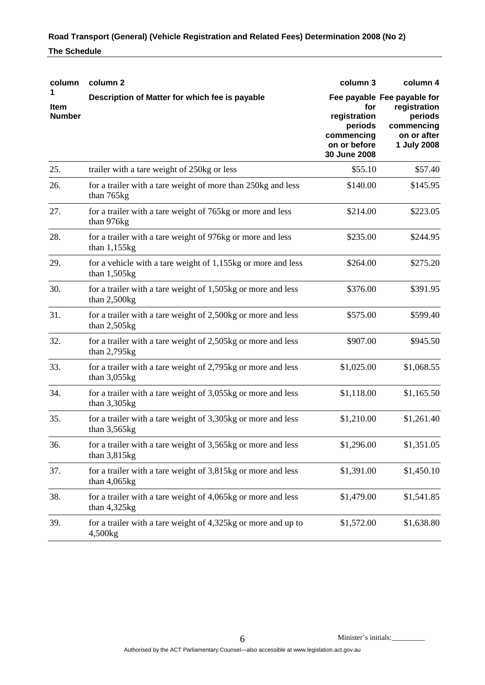| column                       | column 2                                                                        | column 3                                                                     | column 4                                                                                           |
|------------------------------|---------------------------------------------------------------------------------|------------------------------------------------------------------------------|----------------------------------------------------------------------------------------------------|
| <b>Item</b><br><b>Number</b> | Description of Matter for which fee is payable                                  | for<br>registration<br>periods<br>commencing<br>on or before<br>30 June 2008 | Fee payable Fee payable for<br>registration<br>periods<br>commencing<br>on or after<br>1 July 2008 |
| 25.                          | trailer with a tare weight of 250kg or less                                     | \$55.10                                                                      | \$57.40                                                                                            |
| 26.                          | for a trailer with a tare weight of more than 250kg and less<br>than 765kg      | \$140.00                                                                     | \$145.95                                                                                           |
| 27.                          | for a trailer with a tare weight of 765kg or more and less<br>than 976kg        | \$214.00                                                                     | \$223.05                                                                                           |
| 28.                          | for a trailer with a tare weight of 976kg or more and less<br>than $1,155kg$    | \$235.00                                                                     | \$244.95                                                                                           |
| 29.                          | for a vehicle with a tare weight of 1,155kg or more and less<br>than $1,505$ kg | \$264.00                                                                     | \$275.20                                                                                           |
| 30.                          | for a trailer with a tare weight of 1,505kg or more and less<br>than $2,500$ kg | \$376.00                                                                     | \$391.95                                                                                           |
| 31.                          | for a trailer with a tare weight of 2,500kg or more and less<br>than $2,505$ kg | \$575.00                                                                     | \$599.40                                                                                           |
| 32.                          | for a trailer with a tare weight of 2,505kg or more and less<br>than $2,795$ kg | \$907.00                                                                     | \$945.50                                                                                           |
| 33.                          | for a trailer with a tare weight of 2,795kg or more and less<br>than $3,055kg$  | \$1,025.00                                                                   | \$1,068.55                                                                                         |
| 34.                          | for a trailer with a tare weight of 3,055kg or more and less<br>than $3,305$ kg | \$1,118.00                                                                   | \$1,165.50                                                                                         |
| 35.                          | for a trailer with a tare weight of 3,305kg or more and less<br>than $3,565$ kg | \$1,210.00                                                                   | \$1,261.40                                                                                         |
| 36.                          | for a trailer with a tare weight of 3,565kg or more and less<br>than $3,815$ kg | \$1,296.00                                                                   | \$1,351.05                                                                                         |
| 37.                          | for a trailer with a tare weight of 3,815kg or more and less<br>than $4,065kg$  | \$1,391.00                                                                   | \$1,450.10                                                                                         |
| 38.                          | for a trailer with a tare weight of 4,065kg or more and less<br>than $4,325kg$  | \$1,479.00                                                                   | \$1,541.85                                                                                         |
| 39.                          | for a trailer with a tare weight of 4,325kg or more and up to<br>4,500kg        | \$1,572.00                                                                   | \$1,638.80                                                                                         |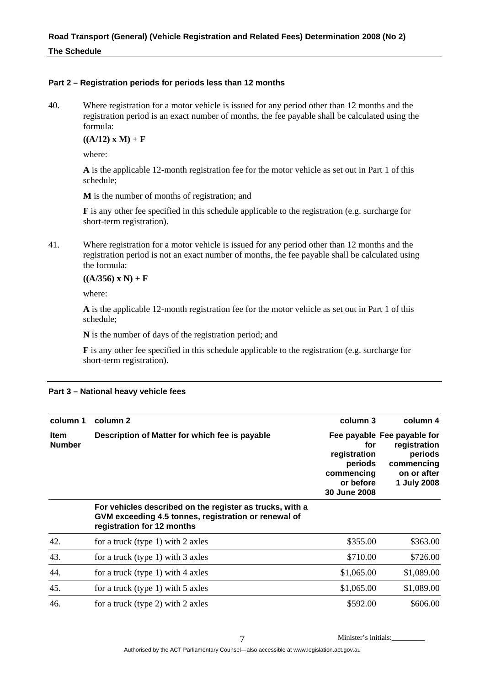#### **Part 2 – Registration periods for periods less than 12 months**

40. Where registration for a motor vehicle is issued for any period other than 12 months and the registration period is an exact number of months, the fee payable shall be calculated using the formula:

 $((A/12) \times M) + F$ 

where:

**A** is the applicable 12-month registration fee for the motor vehicle as set out in Part 1 of this schedule;

**M** is the number of months of registration; and

**F** is any other fee specified in this schedule applicable to the registration (e.g. surcharge for short-term registration).

41. Where registration for a motor vehicle is issued for any period other than 12 months and the registration period is not an exact number of months, the fee payable shall be calculated using the formula:

#### $((A/356) \times N) + F$

where:

**A** is the applicable 12-month registration fee for the motor vehicle as set out in Part 1 of this schedule;

**N** is the number of days of the registration period; and

**F** is any other fee specified in this schedule applicable to the registration (e.g. surcharge for short-term registration).

| column 1                     | column 2                                                                                                                                       | column 3                                                                  | column 4                                                                                           |
|------------------------------|------------------------------------------------------------------------------------------------------------------------------------------------|---------------------------------------------------------------------------|----------------------------------------------------------------------------------------------------|
| <b>Item</b><br><b>Number</b> | Description of Matter for which fee is payable                                                                                                 | for<br>registration<br>periods<br>commencing<br>or before<br>30 June 2008 | Fee payable Fee payable for<br>registration<br>periods<br>commencing<br>on or after<br>1 July 2008 |
|                              | For vehicles described on the register as trucks, with a<br>GVM exceeding 4.5 tonnes, registration or renewal of<br>registration for 12 months |                                                                           |                                                                                                    |
| 42.                          | for a truck (type 1) with 2 axles                                                                                                              | \$355.00                                                                  | \$363.00                                                                                           |
| 43.                          | for a truck (type 1) with 3 axles                                                                                                              | \$710.00                                                                  | \$726.00                                                                                           |
| 44.                          | for a truck (type 1) with 4 axles                                                                                                              | \$1,065.00                                                                | \$1,089.00                                                                                         |
| 45.                          | for a truck (type 1) with $5$ axles                                                                                                            | \$1,065.00                                                                | \$1,089.00                                                                                         |
| 46.                          | for a truck (type 2) with 2 axles                                                                                                              | \$592.00                                                                  | \$606.00                                                                                           |

#### **Part 3 – National heavy vehicle fees**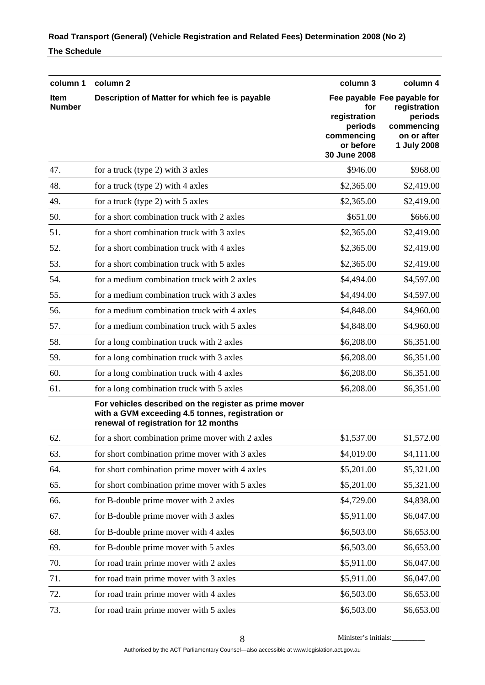| column 1                     | column <sub>2</sub>                                                                                                                                | column 3                                                                  | column 4                                                                                           |
|------------------------------|----------------------------------------------------------------------------------------------------------------------------------------------------|---------------------------------------------------------------------------|----------------------------------------------------------------------------------------------------|
| <b>Item</b><br><b>Number</b> | Description of Matter for which fee is payable                                                                                                     | for<br>registration<br>periods<br>commencing<br>or before<br>30 June 2008 | Fee payable Fee payable for<br>registration<br>periods<br>commencing<br>on or after<br>1 July 2008 |
| 47.                          | for a truck (type 2) with 3 axles                                                                                                                  | \$946.00                                                                  | \$968.00                                                                                           |
| 48.                          | for a truck (type 2) with 4 axles                                                                                                                  | \$2,365.00                                                                | \$2,419.00                                                                                         |
| 49.                          | for a truck (type 2) with 5 axles                                                                                                                  | \$2,365.00                                                                | \$2,419.00                                                                                         |
| 50.                          | for a short combination truck with 2 axles                                                                                                         | \$651.00                                                                  | \$666.00                                                                                           |
| 51.                          | for a short combination truck with 3 axles                                                                                                         | \$2,365.00                                                                | \$2,419.00                                                                                         |
| 52.                          | for a short combination truck with 4 axles                                                                                                         | \$2,365.00                                                                | \$2,419.00                                                                                         |
| 53.                          | for a short combination truck with 5 axles                                                                                                         | \$2,365.00                                                                | \$2,419.00                                                                                         |
| 54.                          | for a medium combination truck with 2 axles                                                                                                        | \$4,494.00                                                                | \$4,597.00                                                                                         |
| 55.                          | for a medium combination truck with 3 axles                                                                                                        | \$4,494.00                                                                | \$4,597.00                                                                                         |
| 56.                          | for a medium combination truck with 4 axles                                                                                                        | \$4,848.00                                                                | \$4,960.00                                                                                         |
| 57.                          | for a medium combination truck with 5 axles                                                                                                        | \$4,848.00                                                                | \$4,960.00                                                                                         |
| 58.                          | for a long combination truck with 2 axles                                                                                                          | \$6,208.00                                                                | \$6,351.00                                                                                         |
| 59.                          | for a long combination truck with 3 axles                                                                                                          | \$6,208.00                                                                | \$6,351.00                                                                                         |
| 60.                          | for a long combination truck with 4 axles                                                                                                          | \$6,208.00                                                                | \$6,351.00                                                                                         |
| 61.                          | for a long combination truck with 5 axles                                                                                                          | \$6,208.00                                                                | \$6,351.00                                                                                         |
|                              | For vehicles described on the register as prime mover<br>with a GVM exceeding 4.5 tonnes, registration or<br>renewal of registration for 12 months |                                                                           |                                                                                                    |
| 62.                          | for a short combination prime mover with 2 axles                                                                                                   | \$1,537.00                                                                | \$1,572.00                                                                                         |
| 63.                          | for short combination prime mover with 3 axles                                                                                                     | \$4,019.00                                                                | \$4,111.00                                                                                         |
| 64.                          | for short combination prime mover with 4 axles                                                                                                     | \$5,201.00                                                                | \$5,321.00                                                                                         |
| 65.                          | for short combination prime mover with 5 axles                                                                                                     | \$5,201.00                                                                | \$5,321.00                                                                                         |
| 66.                          | for B-double prime mover with 2 axles                                                                                                              | \$4,729.00                                                                | \$4,838.00                                                                                         |
| 67.                          | for B-double prime mover with 3 axles                                                                                                              | \$5,911.00                                                                | \$6,047.00                                                                                         |
| 68.                          | for B-double prime mover with 4 axles                                                                                                              | \$6,503.00                                                                | \$6,653.00                                                                                         |
| 69.                          | for B-double prime mover with 5 axles                                                                                                              | \$6,503.00                                                                | \$6,653.00                                                                                         |
| 70.                          | for road train prime mover with 2 axles                                                                                                            | \$5,911.00                                                                | \$6,047.00                                                                                         |
| 71.                          | for road train prime mover with 3 axles                                                                                                            | \$5,911.00                                                                | \$6,047.00                                                                                         |
| 72.                          | for road train prime mover with 4 axles                                                                                                            | \$6,503.00                                                                | \$6,653.00                                                                                         |
| 73.                          | for road train prime mover with 5 axles                                                                                                            | \$6,503.00                                                                | \$6,653.00                                                                                         |

8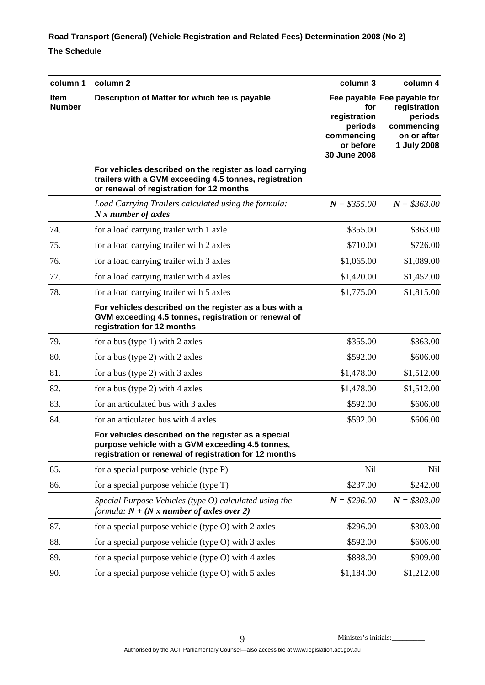| column 1                     | column <sub>2</sub>                                                                                                                                              | column 3                                                                  | column 4                                                                                           |
|------------------------------|------------------------------------------------------------------------------------------------------------------------------------------------------------------|---------------------------------------------------------------------------|----------------------------------------------------------------------------------------------------|
| <b>Item</b><br><b>Number</b> | Description of Matter for which fee is payable                                                                                                                   | for<br>registration<br>periods<br>commencing<br>or before<br>30 June 2008 | Fee payable Fee payable for<br>registration<br>periods<br>commencing<br>on or after<br>1 July 2008 |
|                              | For vehicles described on the register as load carrying<br>trailers with a GVM exceeding 4.5 tonnes, registration<br>or renewal of registration for 12 months    |                                                                           |                                                                                                    |
|                              | Load Carrying Trailers calculated using the formula:<br>N x number of axles                                                                                      | $N = $355.00$                                                             | $N = $363.00$                                                                                      |
| 74.                          | for a load carrying trailer with 1 axle                                                                                                                          | \$355.00                                                                  | \$363.00                                                                                           |
| 75.                          | for a load carrying trailer with 2 axles                                                                                                                         | \$710.00                                                                  | \$726.00                                                                                           |
| 76.                          | for a load carrying trailer with 3 axles                                                                                                                         | \$1,065.00                                                                | \$1,089.00                                                                                         |
| 77.                          | for a load carrying trailer with 4 axles                                                                                                                         | \$1,420.00                                                                | \$1,452.00                                                                                         |
| 78.                          | for a load carrying trailer with 5 axles                                                                                                                         | \$1,775.00                                                                | \$1,815.00                                                                                         |
|                              | For vehicles described on the register as a bus with a<br>GVM exceeding 4.5 tonnes, registration or renewal of<br>registration for 12 months                     |                                                                           |                                                                                                    |
| 79.                          | for a bus (type 1) with 2 axles                                                                                                                                  | \$355.00                                                                  | \$363.00                                                                                           |
| 80.                          | for a bus (type 2) with 2 axles                                                                                                                                  | \$592.00                                                                  | \$606.00                                                                                           |
| 81.                          | for a bus (type 2) with 3 axles                                                                                                                                  | \$1,478.00                                                                | \$1,512.00                                                                                         |
| 82.                          | for a bus (type 2) with $4$ axles                                                                                                                                | \$1,478.00                                                                | \$1,512.00                                                                                         |
| 83.                          | for an articulated bus with 3 axles                                                                                                                              | \$592.00                                                                  | \$606.00                                                                                           |
| 84.                          | for an articulated bus with 4 axles                                                                                                                              | \$592.00                                                                  | \$606.00                                                                                           |
|                              | For vehicles described on the register as a special<br>purpose vehicle with a GVM exceeding 4.5 tonnes,<br>registration or renewal of registration for 12 months |                                                                           |                                                                                                    |
| 85.                          | for a special purpose vehicle (type P)                                                                                                                           | <b>Nil</b>                                                                | Nil                                                                                                |
| 86.                          | for a special purpose vehicle (type T)                                                                                                                           | \$237.00                                                                  | \$242.00                                                                                           |
|                              | Special Purpose Vehicles (type $O$ ) calculated using the<br>formula: $N + (N x$ number of axles over 2)                                                         | $N = $296.00$                                                             | $N = $303.00$                                                                                      |
| 87.                          | for a special purpose vehicle (type O) with 2 axles                                                                                                              | \$296.00                                                                  | \$303.00                                                                                           |
| 88.                          | for a special purpose vehicle (type O) with 3 axles                                                                                                              | \$592.00                                                                  | \$606.00                                                                                           |
| 89.                          | for a special purpose vehicle (type O) with 4 axles                                                                                                              | \$888.00                                                                  | \$909.00                                                                                           |
| 90.                          | for a special purpose vehicle (type O) with 5 axles                                                                                                              | \$1,184.00                                                                | \$1,212.00                                                                                         |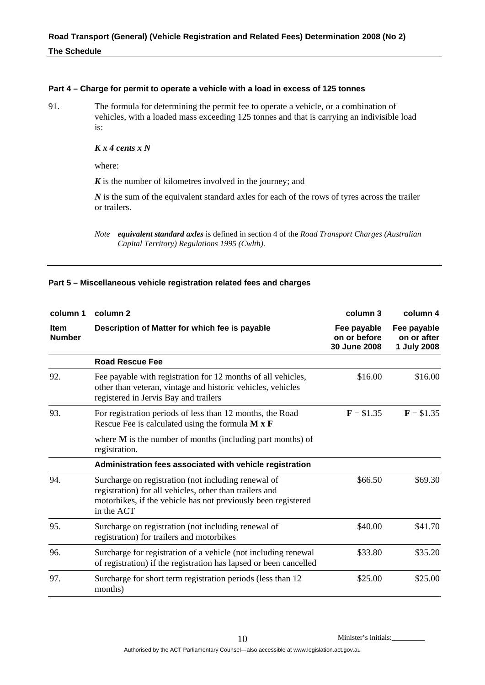#### **Part 4 – Charge for permit to operate a vehicle with a load in excess of 125 tonnes**

91. The formula for determining the permit fee to operate a vehicle, or a combination of vehicles, with a loaded mass exceeding 125 tonnes and that is carrying an indivisible load is:

## *K x 4 cents x N*

where:

*K* is the number of kilometres involved in the journey; and

*N* is the sum of the equivalent standard axles for each of the rows of tyres across the trailer or trailers.

*Note equivalent standard axles* is defined in section 4 of the *Road Transport Charges (Australian Capital Territory) Regulations 1995 (Cwlth)*.

#### **Part 5 – Miscellaneous vehicle registration related fees and charges**

| column 1                     | column 2                                                                                                                                                                                      | column 3                                    | column 4                                  |
|------------------------------|-----------------------------------------------------------------------------------------------------------------------------------------------------------------------------------------------|---------------------------------------------|-------------------------------------------|
| <b>Item</b><br><b>Number</b> | Description of Matter for which fee is payable                                                                                                                                                | Fee payable<br>on or before<br>30 June 2008 | Fee payable<br>on or after<br>1 July 2008 |
|                              | <b>Road Rescue Fee</b>                                                                                                                                                                        |                                             |                                           |
| 92.                          | Fee payable with registration for 12 months of all vehicles,<br>other than veteran, vintage and historic vehicles, vehicles<br>registered in Jervis Bay and trailers                          | \$16.00                                     | \$16.00                                   |
| 93.                          | For registration periods of less than 12 months, the Road<br>Rescue Fee is calculated using the formula $M \times F$                                                                          | $F = $1.35$                                 | $F = $1.35$                               |
|                              | where $M$ is the number of months (including part months) of<br>registration.                                                                                                                 |                                             |                                           |
|                              | Administration fees associated with vehicle registration                                                                                                                                      |                                             |                                           |
| 94.                          | Surcharge on registration (not including renewal of<br>registration) for all vehicles, other than trailers and<br>motorbikes, if the vehicle has not previously been registered<br>in the ACT | \$66.50                                     | \$69.30                                   |
| 95.                          | Surcharge on registration (not including renewal of<br>registration) for trailers and motorbikes                                                                                              | \$40.00                                     | \$41.70                                   |
| 96.                          | Surcharge for registration of a vehicle (not including renewal<br>of registration) if the registration has lapsed or been cancelled                                                           | \$33.80                                     | \$35.20                                   |
| 97.                          | Surcharge for short term registration periods (less than 12)<br>months)                                                                                                                       | \$25.00                                     | \$25.00                                   |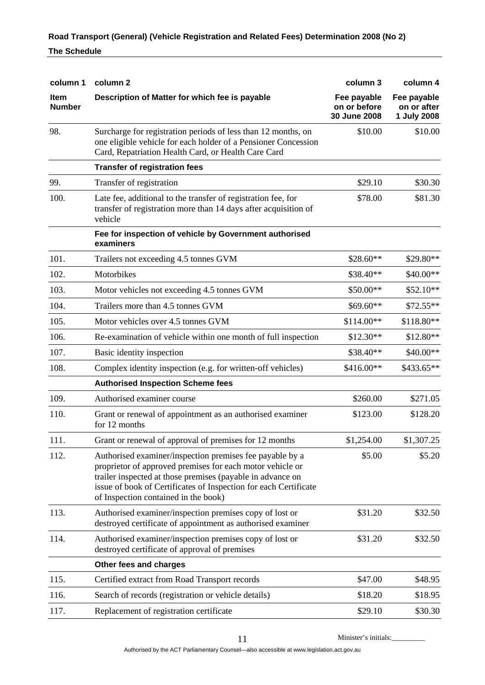| column 1                     | column 2                                                                                                                                                                                                                                                                                        | column 3                                    | column 4                                  |
|------------------------------|-------------------------------------------------------------------------------------------------------------------------------------------------------------------------------------------------------------------------------------------------------------------------------------------------|---------------------------------------------|-------------------------------------------|
| <b>Item</b><br><b>Number</b> | Description of Matter for which fee is payable                                                                                                                                                                                                                                                  | Fee payable<br>on or before<br>30 June 2008 | Fee payable<br>on or after<br>1 July 2008 |
| 98.                          | Surcharge for registration periods of less than 12 months, on<br>one eligible vehicle for each holder of a Pensioner Concession<br>Card, Repatriation Health Card, or Health Care Card                                                                                                          | \$10.00                                     | \$10.00                                   |
|                              | <b>Transfer of registration fees</b>                                                                                                                                                                                                                                                            |                                             |                                           |
| 99.                          | Transfer of registration                                                                                                                                                                                                                                                                        | \$29.10                                     | \$30.30                                   |
| 100.                         | Late fee, additional to the transfer of registration fee, for<br>transfer of registration more than 14 days after acquisition of<br>vehicle                                                                                                                                                     | \$78.00                                     | \$81.30                                   |
|                              | Fee for inspection of vehicle by Government authorised<br>examiners                                                                                                                                                                                                                             |                                             |                                           |
| 101.                         | Trailers not exceeding 4.5 tonnes GVM                                                                                                                                                                                                                                                           | $$28.60**$                                  | \$29.80**                                 |
| 102.                         | Motorbikes                                                                                                                                                                                                                                                                                      | \$38.40**                                   | \$40.00**                                 |
| 103.                         | Motor vehicles not exceeding 4.5 tonnes GVM                                                                                                                                                                                                                                                     | \$50.00**                                   | \$52.10**                                 |
| 104.                         | Trailers more than 4.5 tonnes GVM                                                                                                                                                                                                                                                               | \$69.60**                                   | \$72.55**                                 |
| 105.                         | Motor vehicles over 4.5 tonnes GVM                                                                                                                                                                                                                                                              | $$114.00**$                                 | \$118.80**                                |
| 106.                         | Re-examination of vehicle within one month of full inspection                                                                                                                                                                                                                                   | $$12.30**$                                  | \$12.80**                                 |
| 107.                         | Basic identity inspection                                                                                                                                                                                                                                                                       | \$38.40**                                   | \$40.00**                                 |
| 108.                         | Complex identity inspection (e.g. for written-off vehicles)                                                                                                                                                                                                                                     | \$416.00**                                  | \$433.65**                                |
|                              | <b>Authorised Inspection Scheme fees</b>                                                                                                                                                                                                                                                        |                                             |                                           |
| 109.                         | Authorised examiner course                                                                                                                                                                                                                                                                      | \$260.00                                    | \$271.05                                  |
| 110.                         | Grant or renewal of appointment as an authorised examiner<br>for 12 months                                                                                                                                                                                                                      | \$123.00                                    | \$128.20                                  |
| 111.                         | Grant or renewal of approval of premises for 12 months                                                                                                                                                                                                                                          | \$1,254.00                                  | \$1,307.25                                |
| 112.                         | Authorised examiner/inspection premises fee payable by a<br>proprietor of approved premises for each motor vehicle or<br>trailer inspected at those premises (payable in advance on<br>issue of book of Certificates of Inspection for each Certificate<br>of Inspection contained in the book) | \$5.00                                      | \$5.20                                    |
| 113.                         | Authorised examiner/inspection premises copy of lost or<br>destroyed certificate of appointment as authorised examiner                                                                                                                                                                          | \$31.20                                     | \$32.50                                   |
| 114.                         | Authorised examiner/inspection premises copy of lost or<br>destroyed certificate of approval of premises                                                                                                                                                                                        | \$31.20                                     | \$32.50                                   |
|                              | Other fees and charges                                                                                                                                                                                                                                                                          |                                             |                                           |
| 115.                         | Certified extract from Road Transport records                                                                                                                                                                                                                                                   | \$47.00                                     | \$48.95                                   |
| 116.                         | Search of records (registration or vehicle details)                                                                                                                                                                                                                                             | \$18.20                                     | \$18.95                                   |
| 117.                         | Replacement of registration certificate                                                                                                                                                                                                                                                         | \$29.10                                     | \$30.30                                   |